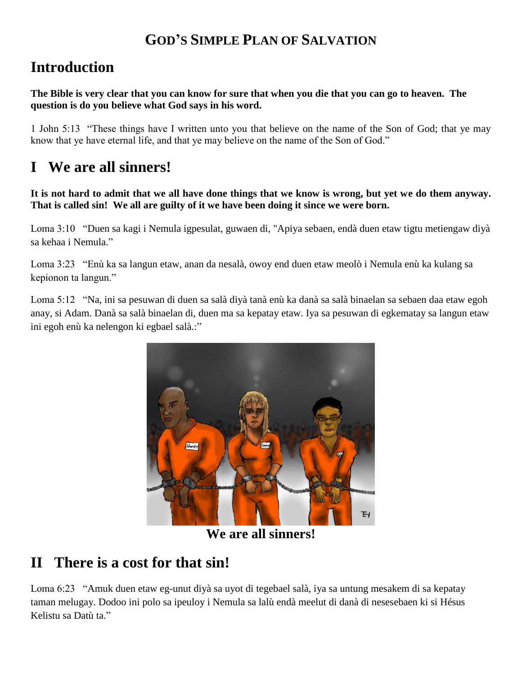#### **GOD'S SIMPLE PLAN OF SALVATION**

## **Introduction**

**The Bible is very clear that you can know for sure that when you die that you can go to heaven. The question is do you believe what God says in his word.**

1 John 5:13 "These things have I written unto you that believe on the name of the Son of God; that ye may know that ye have eternal life, and that ye may believe on the name of the Son of God."

## **I We are all sinners!**

**It is not hard to admit that we all have done things that we know is wrong, but yet we do them anyway. That is called sin! We all are guilty of it we have been doing it since we were born.**

Loma 3:10 "Duen sa kagi i Nemula igpesulat, guwaen di, "Apiya sebaen, endà duen etaw tigtu metiengaw diyà sa kehaa i Nemula."

Loma 3:23 "Enù ka sa langun etaw, anan da nesalà, owoy end duen etaw meolò i Nemula enù ka kulang sa kepionon ta langun."

Loma 5:12 "Na, ini sa pesuwan di duen sa salà diyà tanà enù ka danà sa salà binaelan sa sebaen daa etaw egoh anay, si Adam. Danà sa salà binaelan di, duen ma sa kepatay etaw. Iya sa pesuwan di egkematay sa langun etaw ini egoh enù ka nelengon ki egbael salà.:"



**We are all sinners!**

## **II There is a cost for that sin!**

Loma 6:23 "Amuk duen etaw eg-unut diyà sa uyot di tegebael salà, iya sa untung mesakem di sa kepatay taman melugay. Dodoo ini polo sa ipeuloy i Nemula sa lalù endà meelut di danà di nesesebaen ki si Hésus Kelistu sa Datù ta."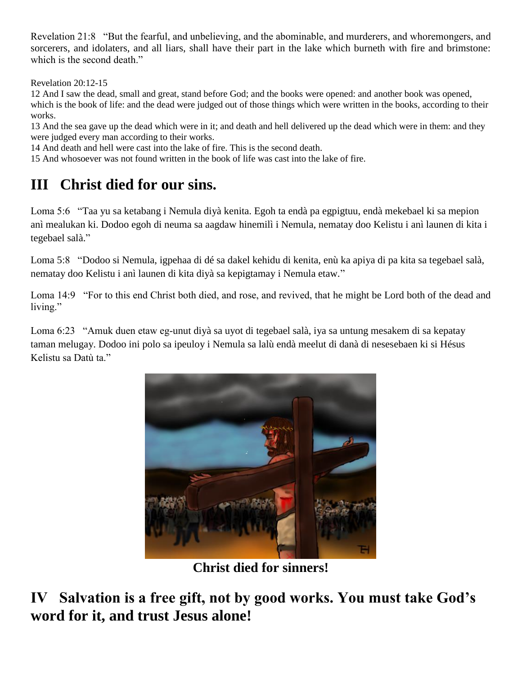Revelation 21:8 "But the fearful, and unbelieving, and the abominable, and murderers, and whoremongers, and sorcerers, and idolaters, and all liars, shall have their part in the lake which burneth with fire and brimstone: which is the second death."

Revelation 20:12-15

12 And I saw the dead, small and great, stand before God; and the books were opened: and another book was opened, which is the book of life: and the dead were judged out of those things which were written in the books, according to their works.

13 And the sea gave up the dead which were in it; and death and hell delivered up the dead which were in them: and they were judged every man according to their works.

14 And death and hell were cast into the lake of fire. This is the second death.

15 And whosoever was not found written in the book of life was cast into the lake of fire.

# **III Christ died for our sins.**

Loma 5:6 "Taa yu sa ketabang i Nemula diyà kenita. Egoh ta endà pa egpigtuu, endà mekebael ki sa mepion anì mealukan ki. Dodoo egoh di neuma sa aagdaw hinemilì i Nemula, nematay doo Kelistu i anì launen di kita i tegebael salà."

Loma 5:8 "Dodoo si Nemula, igpehaa di dé sa dakel kehidu di kenita, enù ka apiya di pa kita sa tegebael salà, nematay doo Kelistu i anì launen di kita diyà sa kepigtamay i Nemula etaw."

Loma 14:9 "For to this end Christ both died, and rose, and revived, that he might be Lord both of the dead and living."

Loma 6:23 "Amuk duen etaw eg-unut diyà sa uyot di tegebael salà, iya sa untung mesakem di sa kepatay taman melugay. Dodoo ini polo sa ipeuloy i Nemula sa lalù endà meelut di danà di nesesebaen ki si Hésus Kelistu sa Datù ta."



**Christ died for sinners!**

**IV Salvation is a free gift, not by good works. You must take God's word for it, and trust Jesus alone!**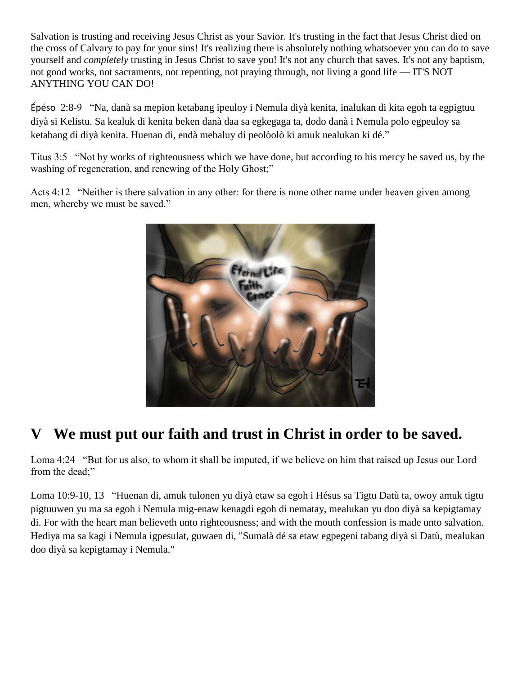Salvation is trusting and receiving Jesus Christ as your Savior. It's trusting in the fact that Jesus Christ died on the cross of Calvary to pay for your sins! It's realizing there is absolutely nothing whatsoever you can do to save yourself and *completely* trusting in Jesus Christ to save you! It's not any church that saves. It's not any baptism, not good works, not sacraments, not repenting, not praying through, not living a good life — IT'S NOT ANYTHING YOU CAN DO!

Épéso 2:8-9 "Na, danà sa mepion ketabang ipeuloy i Nemula diyà kenita, inalukan di kita egoh ta egpigtuu diyà si Kelistu. Sa kealuk di kenita beken danà daa sa egkegaga ta, dodo danà i Nemula polo egpeuloy sa ketabang di diyà kenita. Huenan di, endà mebaluy di peolòolò ki amuk nealukan ki dé."

Titus 3:5 "Not by works of righteousness which we have done, but according to his mercy he saved us, by the washing of regeneration, and renewing of the Holy Ghost;"

Acts 4:12 "Neither is there salvation in any other: for there is none other name under heaven given among men, whereby we must be saved."



# **V We must put our faith and trust in Christ in order to be saved.**

Loma 4:24 "But for us also, to whom it shall be imputed, if we believe on him that raised up Jesus our Lord from the dead;"

Loma 10:9-10, 13 "Huenan di, amuk tulonen yu diyà etaw sa egoh i Hésus sa Tigtu Datù ta, owoy amuk tigtu pigtuuwen yu ma sa egoh i Nemula mig-enaw kenagdi egoh di nematay, mealukan yu doo diyà sa kepigtamay di. For with the heart man believeth unto righteousness; and with the mouth confession is made unto salvation. Hediya ma sa kagi i Nemula igpesulat, guwaen di, "Sumalà dé sa etaw egpegeni tabang diyà si Datù, mealukan doo diyà sa kepigtamay i Nemula."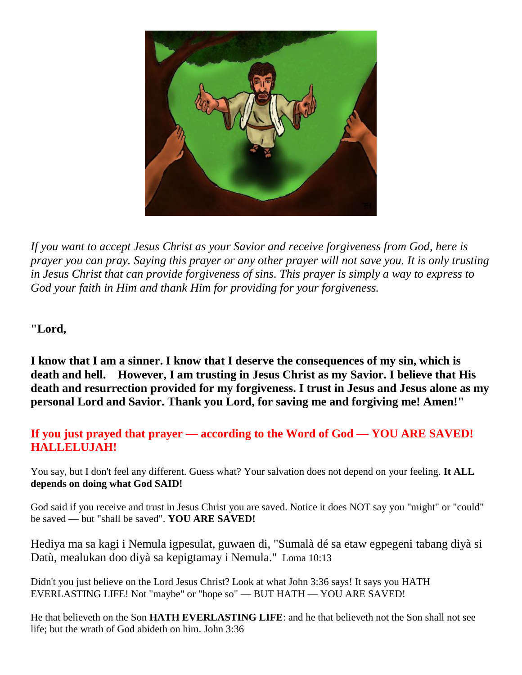

*If you want to accept Jesus Christ as your Savior and receive forgiveness from God, here is prayer you can pray. Saying this prayer or any other prayer will not save you. It is only trusting in Jesus Christ that can provide forgiveness of sins. This prayer is simply a way to express to God your faith in Him and thank Him for providing for your forgiveness.* 

**"Lord,** 

**I know that I am a sinner. I know that I deserve the consequences of my sin, which is death and hell. However, I am trusting in Jesus Christ as my Savior. I believe that His death and resurrection provided for my forgiveness. I trust in Jesus and Jesus alone as my personal Lord and Savior. Thank you Lord, for saving me and forgiving me! Amen!"**

#### **If you just prayed that prayer — according to the Word of God — YOU ARE SAVED! HALLELUJAH!**

You say, but I don't feel any different. Guess what? Your salvation does not depend on your feeling. **It ALL depends on doing what God SAID!**

God said if you receive and trust in Jesus Christ you are saved. Notice it does NOT say you "might" or "could" be saved — but "shall be saved". **YOU ARE SAVED!**

Hediya ma sa kagi i Nemula igpesulat, guwaen di, "Sumalà dé sa etaw egpegeni tabang diyà si Datù, mealukan doo diyà sa kepigtamay i Nemula." Loma 10:13

Didn't you just believe on the Lord Jesus Christ? Look at what John 3:36 says! It says you HATH EVERLASTING LIFE! Not "maybe" or "hope so" — BUT HATH — YOU ARE SAVED!

He that believeth on the Son **HATH EVERLASTING LIFE**: and he that believeth not the Son shall not see life; but the wrath of God abideth on him. John 3:36